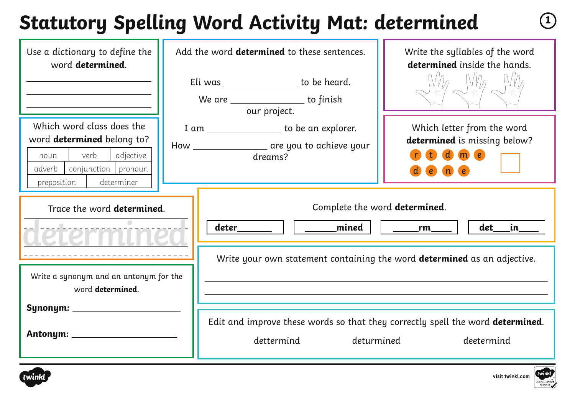## **Statutory Spelling Word Activity Mat: determined <sup>1</sup>**

| Use a dictionary to define the<br>word determined.                                                                                                 | Add the word determined to these sentences.<br>Write the syllables of the word<br>determined inside the hands.<br>Eli was ________________ to be heard.<br>We are _____________________ to finish<br>our project. |
|----------------------------------------------------------------------------------------------------------------------------------------------------|-------------------------------------------------------------------------------------------------------------------------------------------------------------------------------------------------------------------|
| Which word class does the<br>word determined belong to?<br>verb<br>adjective<br>noun<br>conjunction pronoun<br>adverb<br>preposition<br>determiner | Which letter from the word<br>I am ___________________ to be an explorer.<br>determined is missing below?<br>How __________________ are you to achieve your<br>$\mathbf d$ m $\mathbf e$<br>dreams?<br>$\sqrt{n}$ |
| Trace the word <b>determined</b> .                                                                                                                 | Complete the word determined.<br>deter__________    ________mined<br>det<br>in in<br>$\sqrt{r}$ rm<br>Write your own statement containing the word <b>determined</b> as an adjective.                             |
| Write a synonym and an antonym for the<br>word determined.                                                                                         | Edit and improve these words so that they correctly spell the word determined.<br>deturmined<br>dettermind<br>deetermind                                                                                          |



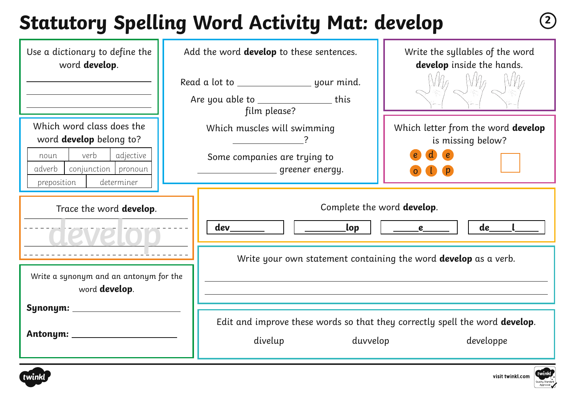## **Statutory Spelling Word Activity Mat: develop <sup>2</sup>**

| Use a dictionary to define the<br>word develop.                                                                           | Add the word <b>develop</b> to these sentences.                                                                                                              | Write the syllables of the word<br>develop inside the hands. |
|---------------------------------------------------------------------------------------------------------------------------|--------------------------------------------------------------------------------------------------------------------------------------------------------------|--------------------------------------------------------------|
| Which word class does the<br>word <b>develop</b> belong to?<br>verb<br>adjective<br>noun<br>conjunction pronoun<br>adverb | Are you able to ___________________this<br>film please?<br>Which muscles will swimming<br>Some companies are trying to<br>__________________ greener energy. | Which letter from the word develop<br>is missing below?      |
| determiner<br>preposition<br>Trace the word develop.                                                                      | Complete the word develop.<br>dev_<br>_lop                                                                                                                   | de<br>$\qquad \qquad e$                                      |
| Write a synonym and an antonym for the<br>word <b>develop</b> .<br>Synonym: _                                             | Write your own statement containing the word <b>develop</b> as a verb.                                                                                       |                                                              |
| Antonym: __________                                                                                                       | Edit and improve these words so that they correctly spell the word develop.<br>duvvelop<br>divelup                                                           | developpe                                                    |



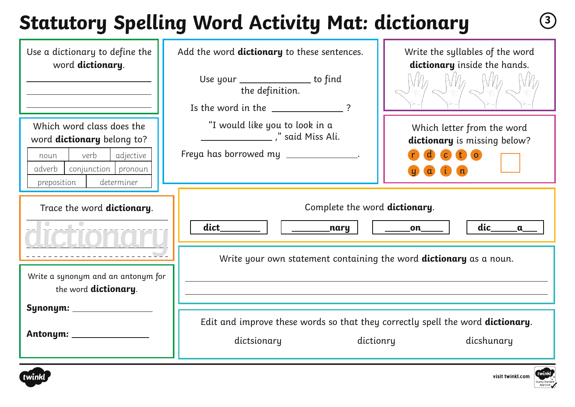# **Statutory Spelling Word Activity Mat: dictionary <sup>3</sup>**

| Use a dictionary to define the<br>word dictionary.<br>Which word class does the<br>word dictionary belong to?<br>verb<br>adjective<br>noun<br>conjunction   pronoun<br>adverb<br>determiner<br>preposition | Add the word dictionary to these sentences.<br>Use your _______________ to find<br>the definition.<br>Is the word in the $\sqrt{ }$ ?<br>"I would like you to look in a<br>en and Miss Ali.<br>Freya has borrowed my ______________.                                                                                                          | Write the syllables of the word<br>dictionary inside the hands.<br>Which letter from the word<br>dictionary is missing below?<br>$\mathbf{c}$ $\mathbf{t}$ $\mathbf{o}$<br>$\alpha$ |
|------------------------------------------------------------------------------------------------------------------------------------------------------------------------------------------------------------|-----------------------------------------------------------------------------------------------------------------------------------------------------------------------------------------------------------------------------------------------------------------------------------------------------------------------------------------------|-------------------------------------------------------------------------------------------------------------------------------------------------------------------------------------|
| Trace the word dictionary.<br>Write a synonym and an antonym for<br>the word <b>dictionary</b> .<br>Synonym: _____________                                                                                 | Complete the word dictionary.<br>dict<br><b>and the contract of the contract of the contract of the contract of the contract of the contract o</b><br>Write your own statement containing the word <b>dictionary</b> as a noun.<br>Edit and improve these words so that they correctly spell the word dictionary.<br>dictsionary<br>dictionry | dic<br><b>Example 1</b><br>$\alpha$<br>dicshunary                                                                                                                                   |

visit twinkl.com

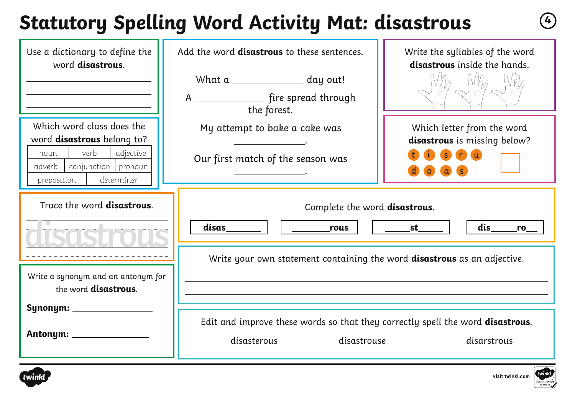### **Statutory Spelling Word Activity Mat: disastrous <sup>4</sup>**

| Use a dictionary to define the<br>word disastrous.                                                                                                 | Add the word disastrous to these sentences.<br>What a ______________ day out!                                               | Write the syllables of the word<br>disastrous inside the hands.                                                    |
|----------------------------------------------------------------------------------------------------------------------------------------------------|-----------------------------------------------------------------------------------------------------------------------------|--------------------------------------------------------------------------------------------------------------------|
| Which word class does the<br>word disastrous belong to?<br>verb<br>adjective<br>noun<br>conjunction pronoun<br>adverb<br>determiner<br>preposition | the forest.<br>My attempt to bake a cake was<br>Our first match of the season was                                           | Which letter from the word<br>disastrous is missing below?<br>n(u)<br>S <sup>3</sup><br>$\overline{O}$<br>$\alpha$ |
| Trace the word disastrous.                                                                                                                         | Complete the word disastrous.<br>disas<br>dis<br>_____________st_____<br>rous<br>ro                                         |                                                                                                                    |
| Write a synonym and an antonym for<br>the word disastrous.                                                                                         | Write your own statement containing the word <b>disastrous</b> as an adjective.                                             |                                                                                                                    |
| Synonym: ___________                                                                                                                               | Edit and improve these words so that they correctly spell the word disastrous.<br>disasterous<br>disastrouse<br>disarstrous |                                                                                                                    |